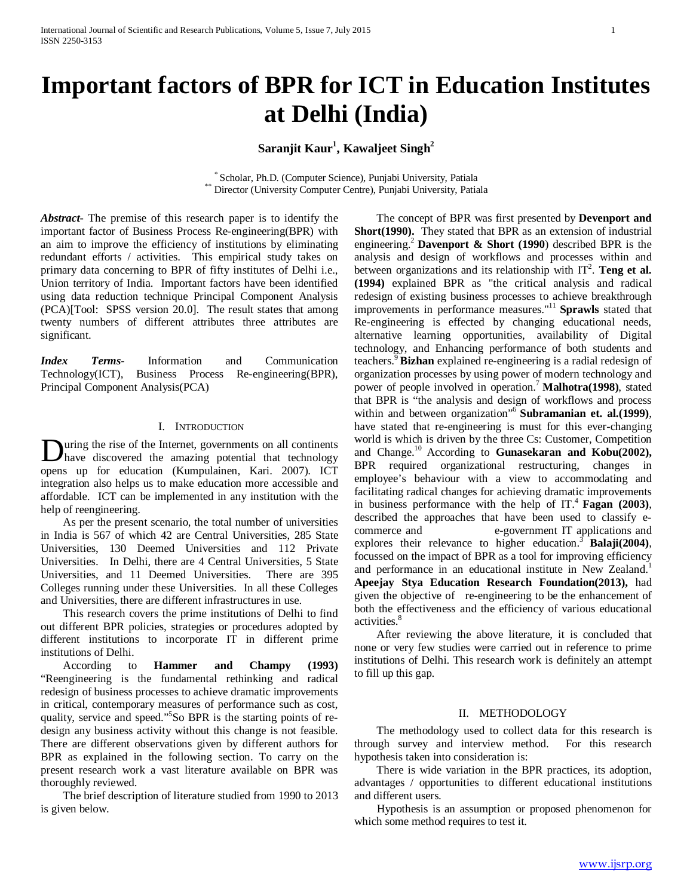# **Important factors of BPR for ICT in Education Institutes at Delhi (India)**

 $\mathrm{Saranjit \; Kaur}^1, \mathrm{Kawalject \; Singh}^2$ 

\* Scholar, Ph.D. (Computer Science), Punjabi University, Patiala \*\* Director (University Computer Centre), Punjabi University, Patiala

*Abstract***-** The premise of this research paper is to identify the important factor of Business Process Re-engineering(BPR) with an aim to improve the efficiency of institutions by eliminating redundant efforts / activities. This empirical study takes on primary data concerning to BPR of fifty institutes of Delhi i.e., Union territory of India. Important factors have been identified using data reduction technique Principal Component Analysis (PCA)[Tool: SPSS version 20.0]. The result states that among twenty numbers of different attributes three attributes are significant.

*Index Terms*- Information and Communication Technology(ICT), Business Process Re-engineering(BPR), Principal Component Analysis(PCA)

# I. INTRODUCTION

uring the rise of the Internet, governments on all continents During the rise of the Internet, governments on all continents<br>have discovered the amazing potential that technology<br> $\frac{1}{2}$ opens up for education (Kumpulainen, Kari. 2007). ICT integration also helps us to make education more accessible and affordable. ICT can be implemented in any institution with the help of reengineering.

 As per the present scenario, the total number of universities in India is 567 of which 42 are Central Universities, 285 State Universities, 130 Deemed Universities and 112 Private Universities. In Delhi, there are 4 Central Universities, 5 State Universities, and 11 Deemed Universities. There are 395 Colleges running under these Universities. In all these Colleges and Universities, there are different infrastructures in use.

 This research covers the prime institutions of Delhi to find out different BPR policies, strategies or procedures adopted by different institutions to incorporate IT in different prime institutions of Delhi.

 According to **Hammer and Champy (1993)**  "Reengineering is the fundamental rethinking and radical redesign of business processes to achieve dramatic improvements in critical, contemporary measures of performance such as cost, quality, service and speed."<sup>5</sup>So BPR is the starting points of redesign any business activity without this change is not feasible. There are different observations given by different authors for BPR as explained in the following section. To carry on the present research work a vast literature available on BPR was thoroughly reviewed.

 The brief description of literature studied from 1990 to 2013 is given below.

 The concept of BPR was first presented by **Devenport and Short(1990).** They stated that BPR as an extension of industrial engineering.2 **Davenport & Short (1990**) described BPR is the analysis and design of workflows and processes within and between organizations and its relationship with  $IT<sup>2</sup>$ . **Teng et al. (1994)** explained BPR as "the critical analysis and radical redesign of existing business processes to achieve breakthrough improvements in performance measures." <sup>11</sup>**Sprawls** stated that Re-engineering is effected by changing educational needs, alternative learning opportunities, availability of Digital technology, and Enhancing performance of both students and teachers.9 **Bizhan** explained re-engineering is a radial redesign of organization processes by using power of modern technology and power of people involved in operation.7 **Malhotra(1998)**, stated that BPR is "the analysis and design of workflows and process within and between organization"6 **Subramanian et. al.(1999)**, have stated that re-engineering is must for this ever-changing world is which is driven by the three Cs: Customer, Competition and Change.10 According to **Gunasekaran and Kobu(2002),**  BPR required organizational restructuring, changes in employee's behaviour with a view to accommodating and facilitating radical changes for achieving dramatic improvements in business performance with the help of  $IT<sup>4</sup>$  **Fagan (2003)**, described the approaches that have been used to classify ecommerce and e-government IT applications and explores their relevance to higher education.<sup>3</sup> **Balaji**(2004), focussed on the impact of BPR as a tool for improving efficiency and performance in an educational institute in New Zealand.<sup>1</sup> **Apeejay Stya Education Research Foundation(2013),** had given the objective of re-engineering to be the enhancement of both the effectiveness and the efficiency of various educational activities.<sup>8</sup>

 After reviewing the above literature, it is concluded that none or very few studies were carried out in reference to prime institutions of Delhi. This research work is definitely an attempt to fill up this gap.

## II. METHODOLOGY

 The methodology used to collect data for this research is through survey and interview method. For this research hypothesis taken into consideration is:

 There is wide variation in the BPR practices, its adoption, advantages / opportunities to different educational institutions and different users.

 Hypothesis is an assumption or proposed phenomenon for which some method requires to test it.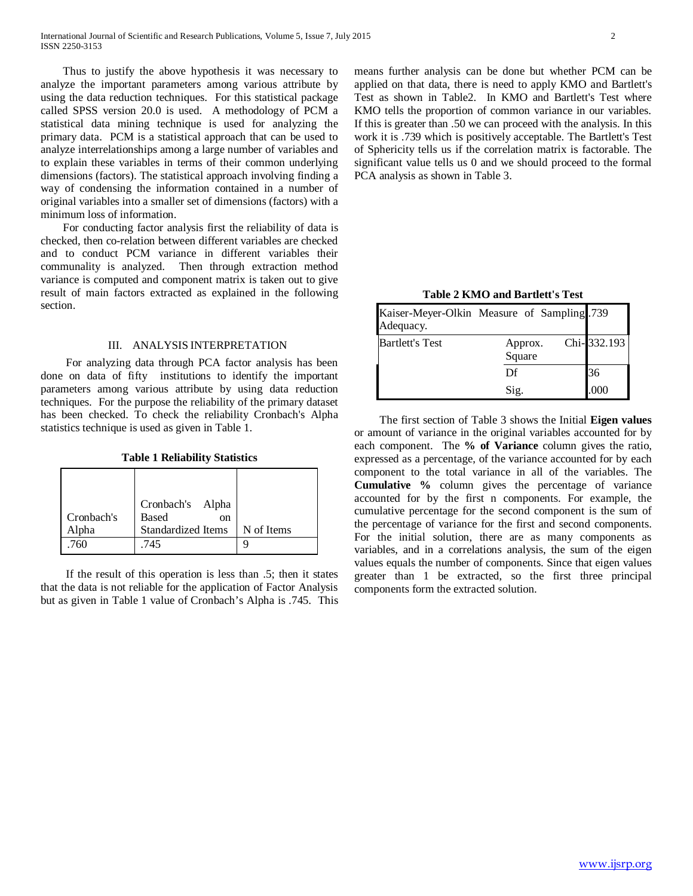Thus to justify the above hypothesis it was necessary to analyze the important parameters among various attribute by using the data reduction techniques. For this statistical package called SPSS version 20.0 is used. A methodology of PCM a statistical data mining technique is used for analyzing the primary data. PCM is a statistical approach that can be used to analyze interrelationships among a large number of variables and to explain these variables in terms of their common underlying dimensions (factors). The statistical approach involving finding a way of condensing the information contained in a number of original variables into a smaller set of dimensions (factors) with a minimum loss of information.

 For conducting factor analysis first the reliability of data is checked, then co-relation between different variables are checked and to conduct PCM variance in different variables their communality is analyzed. Then through extraction method variance is computed and component matrix is taken out to give result of main factors extracted as explained in the following section.

# III. ANALYSIS INTERPRETATION

 For analyzing data through PCA factor analysis has been done on data of fifty institutions to identify the important parameters among various attribute by using data reduction techniques. For the purpose the reliability of the primary dataset has been checked. To check the reliability Cronbach's Alpha statistics technique is used as given in Table 1.

**Table 1 Reliability Statistics**

| Cronbach's | Cronbach's Alpha<br>Based<br>on |            |
|------------|---------------------------------|------------|
| Alpha      | <b>Standardized Items</b>       | N of Items |
| 760        | .745                            |            |

 If the result of this operation is less than .5; then it states that the data is not reliable for the application of Factor Analysis but as given in Table 1 value of Cronbach's Alpha is .745. This means further analysis can be done but whether PCM can be applied on that data, there is need to apply KMO and Bartlett's Test as shown in Table2. In KMO and Bartlett's Test where KMO tells the proportion of common variance in our variables. If this is greater than .50 we can proceed with the analysis. In this work it is .739 which is positively acceptable. The Bartlett's Test of Sphericity tells us if the correlation matrix is factorable. The significant value tells us 0 and we should proceed to the formal PCA analysis as shown in Table 3.

**Table 2 KMO and Bartlett's Test**

| Adequacy.              | Kaiser-Meyer-Olkin Measure of Sampling 739 |             |
|------------------------|--------------------------------------------|-------------|
| <b>Bartlett's Test</b> | Approx.<br>Square                          | Chi-332.193 |
|                        | Df                                         | 36          |
|                        | Sig.                                       |             |

 The first section of Table 3 shows the Initial **Eigen values** or amount of variance in the original variables accounted for by each component. The **% of Variance** column gives the ratio, expressed as a percentage, of the variance accounted for by each component to the total variance in all of the variables. The **Cumulative %** column gives the percentage of variance accounted for by the first n components. For example, the cumulative percentage for the second component is the sum of the percentage of variance for the first and second components. For the initial solution, there are as many components as variables, and in a correlations analysis, the sum of the eigen values equals the number of components. Since that eigen values greater than 1 be extracted, so the first three principal components form the extracted solution.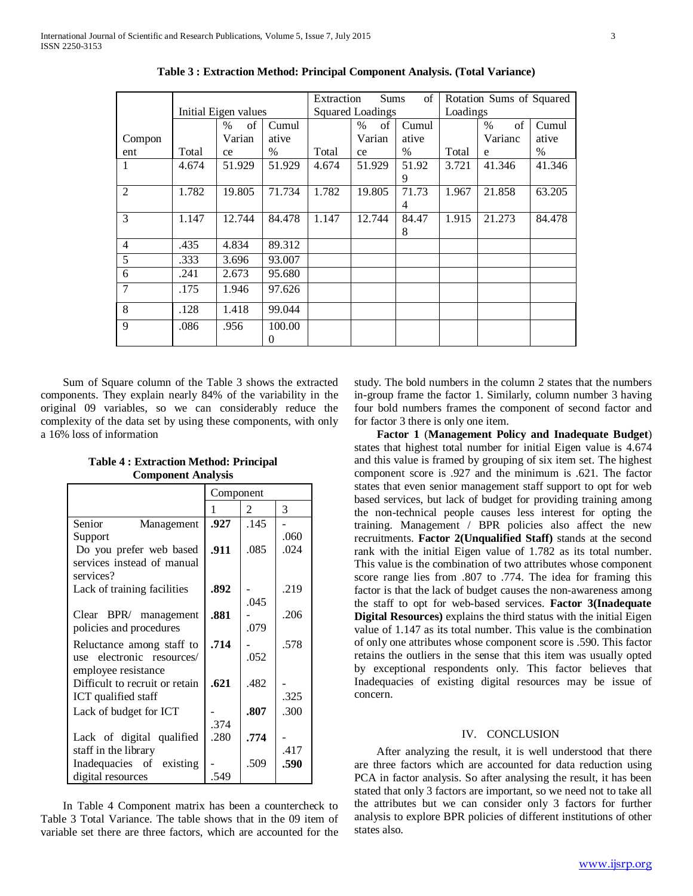|                |                      |            |                    | Extraction<br>of<br><b>Sums</b> |            |          | Rotation Sums of Squared |            |        |
|----------------|----------------------|------------|--------------------|---------------------------------|------------|----------|--------------------------|------------|--------|
|                | Initial Eigen values |            |                    | Squared Loadings                |            | Loadings |                          |            |        |
|                |                      | of<br>$\%$ | Cumul              |                                 | $\%$<br>of | Cumul    |                          | of<br>$\%$ | Cumul  |
| Compon         |                      | Varian     | ative              |                                 | Varian     | ative    |                          | Varianc    | ative  |
| ent            | Total                | ce         | $\frac{0}{0}$      | Total                           | ce         | $\%$     | Total                    | e          | $\%$   |
| 1              | 4.674                | 51.929     | 51.929             | 4.674                           | 51.929     | 51.92    | 3.721                    | 41.346     | 41.346 |
|                |                      |            |                    |                                 |            | 9        |                          |            |        |
| $\overline{2}$ | 1.782                | 19.805     | 71.734             | 1.782                           | 19.805     | 71.73    | 1.967                    | 21.858     | 63.205 |
|                |                      |            |                    |                                 |            | 4        |                          |            |        |
| 3              | 1.147                | 12.744     | 84.478             | 1.147                           | 12.744     | 84.47    | 1.915                    | 21.273     | 84.478 |
|                |                      |            |                    |                                 |            | 8        |                          |            |        |
| $\overline{4}$ | .435                 | 4.834      | 89.312             |                                 |            |          |                          |            |        |
| 5              | .333                 | 3.696      | 93.007             |                                 |            |          |                          |            |        |
| 6              | .241                 | 2.673      | 95.680             |                                 |            |          |                          |            |        |
| 7              | .175                 | 1.946      | 97.626             |                                 |            |          |                          |            |        |
| 8              | .128                 | 1.418      | 99.044             |                                 |            |          |                          |            |        |
| $\mathbf{Q}$   | .086                 | .956       | 100.00<br>$\Omega$ |                                 |            |          |                          |            |        |

**Table 3 : Extraction Method: Principal Component Analysis. (Total Variance)**

 Sum of Square column of the Table 3 shows the extracted components. They explain nearly 84% of the variability in the original 09 variables, so we can considerably reduce the complexity of the data set by using these components, with only a 16% loss of information

**Table 4 : Extraction Method: Principal Component Analysis**

|                                | Component |      |      |  |
|--------------------------------|-----------|------|------|--|
|                                | 1         | 2    | 3    |  |
| Senior<br>Management           | .927      | .145 |      |  |
| Support                        |           |      | .060 |  |
| Do you prefer web based        | .911      | .085 | .024 |  |
| services instead of manual     |           |      |      |  |
| services?                      |           |      |      |  |
| Lack of training facilities    | .892      |      | .219 |  |
|                                |           | .045 |      |  |
| BPR/<br>Clear<br>management    | .881      |      | .206 |  |
| policies and procedures        |           | .079 |      |  |
| Reluctance among staff to      | .714      |      | .578 |  |
| use electronic resources/      |           | .052 |      |  |
| employee resistance            |           |      |      |  |
| Difficult to recruit or retain | .621      | .482 |      |  |
| ICT qualified staff            |           |      | .325 |  |
| Lack of budget for ICT         |           | .807 | .300 |  |
|                                | .374      |      |      |  |
| Lack of digital qualified      | .280      | .774 |      |  |
| staff in the library           |           |      | .417 |  |
| Inadequacies of existing       |           | .509 | .590 |  |
| digital resources              | .549      |      |      |  |

 In Table 4 Component matrix has been a countercheck to Table 3 Total Variance. The table shows that in the 09 item of variable set there are three factors, which are accounted for the study. The bold numbers in the column 2 states that the numbers in-group frame the factor 1. Similarly, column number 3 having four bold numbers frames the component of second factor and for factor 3 there is only one item.

 **Factor 1** (**Management Policy and Inadequate Budget**) states that highest total number for initial Eigen value is 4.674 and this value is framed by grouping of six item set. The highest component score is .927 and the minimum is .621. The factor states that even senior management staff support to opt for web based services, but lack of budget for providing training among the non-technical people causes less interest for opting the training. Management / BPR policies also affect the new recruitments. **Factor 2(Unqualified Staff)** stands at the second rank with the initial Eigen value of 1.782 as its total number. This value is the combination of two attributes whose component score range lies from .807 to .774. The idea for framing this factor is that the lack of budget causes the non-awareness among the staff to opt for web-based services. **Factor 3(Inadequate Digital Resources)** explains the third status with the initial Eigen value of 1.147 as its total number. This value is the combination of only one attributes whose component score is .590. This factor retains the outliers in the sense that this item was usually opted by exceptional respondents only. This factor believes that Inadequacies of existing digital resources may be issue of concern.

# IV. CONCLUSION

 After analyzing the result, it is well understood that there are three factors which are accounted for data reduction using PCA in factor analysis. So after analysing the result, it has been stated that only 3 factors are important, so we need not to take all the attributes but we can consider only 3 factors for further analysis to explore BPR policies of different institutions of other states also.